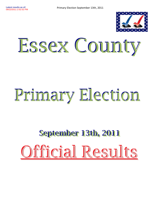

## Essex County

# Primary Election

## **September 13th, 2011** Official Results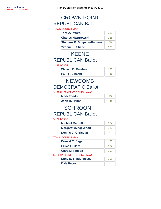## REPUBLICAN Ballot CROWN POINT

| <b>TOWN COUNCILMAN</b>             |     |
|------------------------------------|-----|
| <b>Tara A. Peters</b>              | 218 |
| <b>Charles Mazurowski</b>          | 225 |
| <b>Sherlene E. Simpson-Barrows</b> | 55. |
| <b>Yvonne DuShane</b>              | 120 |

## REPUBLICAN Ballot KEENE

#### **SUPERVISOR**

| <b>William B. Ferebee</b> |  |
|---------------------------|--|
| <b>Paul F. Vincent</b>    |  |

### DEMOCRATIC Ballot NEWCOMB

### SUPERINTENDENT OF HIGHWAYS

| <b>Mark Yandon</b> |  |
|--------------------|--|
| John D. Helms      |  |

## REPUBLICAN Ballot **SCHROON**

### **SUPERVISOR**

| <b>Michael Marnell</b>     | 134 |
|----------------------------|-----|
| <b>Margaret (Meg) Wood</b> | 123 |
| <b>Dennis C. Christian</b> |     |

### TOWN COUNCILMAN

| Donald C. Sage         | 177 |
|------------------------|-----|
| <b>Bruce E. Caza</b>   | 102 |
| <b>Clara M. Phibbs</b> | 203 |

### SUPERINTENDENT OF HIGHWAYS

| Dana E. Shaughnessy |  |
|---------------------|--|
| <b>Dale Pecor</b>   |  |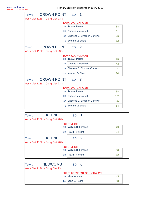| Town <sup>-</sup><br>Assy Dist 113th - Cong Dist 23rd | <b>CROWN POINT ED: 1</b> |                             |     |
|-------------------------------------------------------|--------------------------|-----------------------------|-----|
|                                                       |                          | <b>TOWN COUNCILMAN</b>      |     |
|                                                       |                          | 1B: Tara A. Peters          | 84  |
|                                                       | 2B:                      | <b>Charles Mazurowski</b>   | 81  |
|                                                       | 3B                       | Sherlene E. Simpson-Barrows | 26  |
|                                                       | 4 <sub>B</sub>           | <b>Yvonne DuShane</b>       | 52  |
| Town:<br>Assy Dist 113th - Cong Dist 23rd             | <b>CROWN POINT</b>       | ED: 2                       |     |
|                                                       |                          | <b>TOWN COUNCILMAN</b>      |     |
|                                                       |                          | 1B: Tara A. Peters          | 46  |
|                                                       | 2B <sub>1</sub>          | Charles Mazurowski          | 43  |
|                                                       | 3B                       | Sherlene E. Simpson-Barrows | 4   |
|                                                       | 4B                       | <b>Yvonne DuShane</b>       | 14  |
| Town:<br>Assy Dist 113th - Cong Dist 23rd             | <b>CROWN POINT</b>       | ED: 3                       |     |
|                                                       |                          | <b>TOWN COUNCILMAN</b>      |     |
|                                                       |                          | 1B: Tara A. Peters          | 88  |
|                                                       | 2B:                      | Charles Mazurowski          | 101 |
|                                                       | 3B                       | Sherlene E. Simpson-Barrows | 25  |
|                                                       | 4B                       | <b>Yvonne DuShane</b>       | 54  |

| Town:                            | <b>KEENE</b> | ED: 1                  |    |
|----------------------------------|--------------|------------------------|----|
| Assy Dist 113th - Cong Dist 20th |              |                        |    |
|                                  |              | <b>SUPERVISOR</b>      |    |
|                                  |              | 1B: William B. Ferebee | 73 |
|                                  |              | 2B: Paul F. Vincent    | 24 |
| Town:                            | <b>KEENE</b> | ED: 2                  |    |
| Assy Dist 113th - Cong Dist 20th |              |                        |    |
|                                  |              | <b>SUPERVISOR</b>      |    |
|                                  |              | 1B: William B. Ferebee | 50 |
|                                  |              | 2B: Paul F. Vincent    | 12 |

| <b>NEWCOMB</b><br>Town:          | ED: 0                             |    |
|----------------------------------|-----------------------------------|----|
| Assy Dist 113th - Cong Dist 23rd |                                   |    |
|                                  | <b>SUPERINTENDENT OF HIGHWAYS</b> |    |
|                                  | 1A: Mark Yandon                   | 43 |
|                                  | 2A: John D. Helms                 | 60 |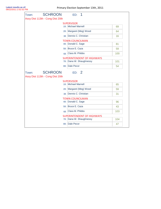| <b>SCHROON</b><br>Town:          | ED:<br>1                          |     |
|----------------------------------|-----------------------------------|-----|
| Assy Dist 113th - Cong Dist 20th |                                   |     |
|                                  | <b>SUPERVISOR</b>                 |     |
|                                  | 1B: Michael Marnell               | 69  |
|                                  | 2B: Margaret (Meg) Wood           | 64  |
|                                  | Dennis C. Christian<br>3B         | 16  |
|                                  | <b>TOWN COUNCILMAN</b>            |     |
|                                  | 4B: Donald C. Sage                | 81  |
|                                  | 5B: Bruce E. Caza                 | 59  |
|                                  | Clara M. Phibbs<br>6 <sub>B</sub> | 100 |
|                                  | <b>SUPERINTENDENT OF HIGHWAYS</b> |     |
|                                  | 7B: Dana W. Shaughnessy           | 101 |
|                                  | 8B: Dale Pecor                    | 54  |
| <b>SCHROON</b><br>Town:          | ED: 2                             |     |
| Assy Dist 113th - Cong Dist 20th |                                   |     |
|                                  | <b>SUPERVISOR</b>                 |     |
|                                  | 1B: Michael Marnell               | 65  |
|                                  | 2B: Margaret (Meg) Wood           | 59  |
|                                  | Dennis C. Christian<br>3B         | 31  |
|                                  | <b>TOWN COUNCILMAN</b>            |     |
|                                  | 4B: Donald C. Sage                | 96  |
|                                  | 5B: Bruce E. Caza                 | 43  |
|                                  | Clara M. Phibbs<br>6 <sub>B</sub> | 103 |
|                                  | <b>SUPERINTENDENT OF HIGHWAYS</b> |     |
|                                  | 7B: Dana W. Shaughnessy           | 104 |
|                                  |                                   |     |